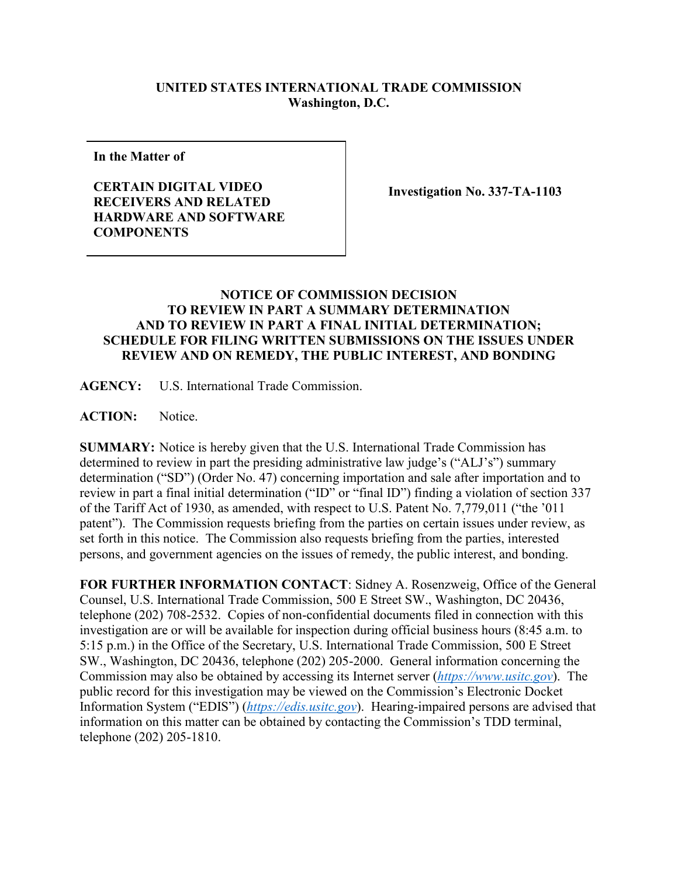## **UNITED STATES INTERNATIONAL TRADE COMMISSION Washington, D.C.**

**In the Matter of**

## **CERTAIN DIGITAL VIDEO RECEIVERS AND RELATED HARDWARE AND SOFTWARE COMPONENTS**

**Investigation No. 337-TA-1103**

## **NOTICE OF COMMISSION DECISION TO REVIEW IN PART A SUMMARY DETERMINATION AND TO REVIEW IN PART A FINAL INITIAL DETERMINATION; SCHEDULE FOR FILING WRITTEN SUBMISSIONS ON THE ISSUES UNDER REVIEW AND ON REMEDY, THE PUBLIC INTEREST, AND BONDING**

**AGENCY:** U.S. International Trade Commission.

ACTION: Notice.

**SUMMARY:** Notice is hereby given that the U.S. International Trade Commission has determined to review in part the presiding administrative law judge's ("ALJ's") summary determination ("SD") (Order No. 47) concerning importation and sale after importation and to review in part a final initial determination ("ID" or "final ID") finding a violation of section 337 of the Tariff Act of 1930, as amended, with respect to U.S. Patent No. 7,779,011 ("the '011 patent"). The Commission requests briefing from the parties on certain issues under review, as set forth in this notice. The Commission also requests briefing from the parties, interested persons, and government agencies on the issues of remedy, the public interest, and bonding.

**FOR FURTHER INFORMATION CONTACT**: Sidney A. Rosenzweig, Office of the General Counsel, U.S. International Trade Commission, 500 E Street SW., Washington, DC 20436, telephone (202) 708-2532. Copies of non-confidential documents filed in connection with this investigation are or will be available for inspection during official business hours (8:45 a.m. to 5:15 p.m.) in the Office of the Secretary, U.S. International Trade Commission, 500 E Street SW., Washington, DC 20436, telephone (202) 205-2000. General information concerning the Commission may also be obtained by accessing its Internet server (*[https://www.usitc.gov](https://www.usitc.gov/)*). The public record for this investigation may be viewed on the Commission's Electronic Docket Information System ("EDIS") (*[https://edis.usitc.gov](https://edis.usitc.gov/)*). Hearing-impaired persons are advised that information on this matter can be obtained by contacting the Commission's TDD terminal, telephone (202) 205-1810.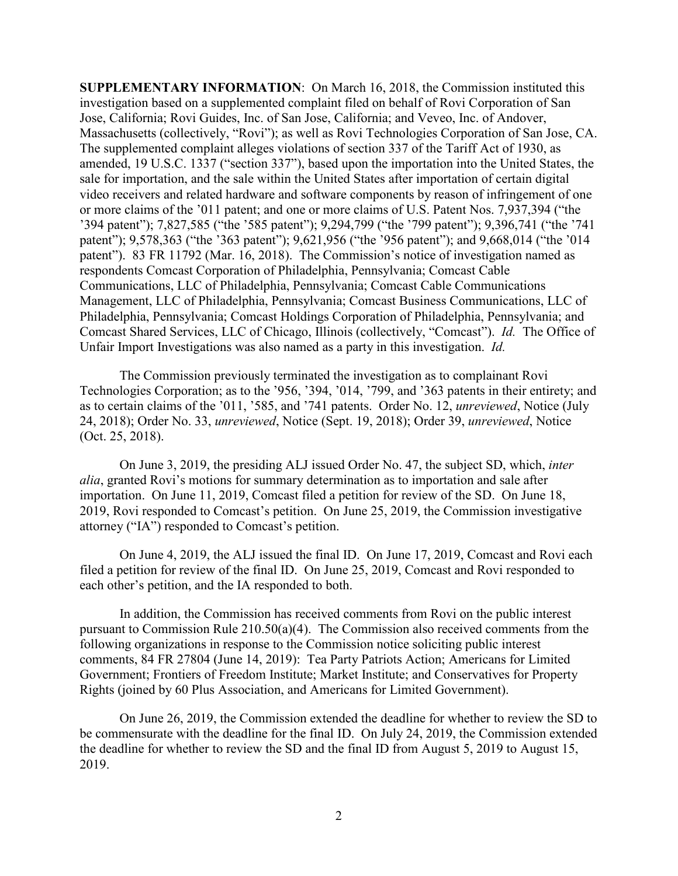**SUPPLEMENTARY INFORMATION**: On March 16, 2018, the Commission instituted this investigation based on a supplemented complaint filed on behalf of Rovi Corporation of San Jose, California; Rovi Guides, Inc. of San Jose, California; and Veveo, Inc. of Andover, Massachusetts (collectively, "Rovi"); as well as Rovi Technologies Corporation of San Jose, CA. The supplemented complaint alleges violations of section 337 of the Tariff Act of 1930, as amended, 19 U.S.C. 1337 ("section 337"), based upon the importation into the United States, the sale for importation, and the sale within the United States after importation of certain digital video receivers and related hardware and software components by reason of infringement of one or more claims of the '011 patent; and one or more claims of U.S. Patent Nos. 7,937,394 ("the '394 patent"); 7,827,585 ("the '585 patent"); 9,294,799 ("the '799 patent"); 9,396,741 ("the '741 patent"); 9,578,363 ("the '363 patent"); 9,621,956 ("the '956 patent"); and 9,668,014 ("the '014 patent"). 83 FR 11792 (Mar. 16, 2018). The Commission's notice of investigation named as respondents Comcast Corporation of Philadelphia, Pennsylvania; Comcast Cable Communications, LLC of Philadelphia, Pennsylvania; Comcast Cable Communications Management, LLC of Philadelphia, Pennsylvania; Comcast Business Communications, LLC of Philadelphia, Pennsylvania; Comcast Holdings Corporation of Philadelphia, Pennsylvania; and Comcast Shared Services, LLC of Chicago, Illinois (collectively, "Comcast"). *Id.* The Office of Unfair Import Investigations was also named as a party in this investigation. *Id.*

The Commission previously terminated the investigation as to complainant Rovi Technologies Corporation; as to the '956, '394, '014, '799, and '363 patents in their entirety; and as to certain claims of the '011, '585, and '741 patents. Order No. 12, *unreviewed*, Notice (July 24, 2018); Order No. 33, *unreviewed*, Notice (Sept. 19, 2018); Order 39, *unreviewed*, Notice (Oct. 25, 2018).

On June 3, 2019, the presiding ALJ issued Order No. 47, the subject SD, which, *inter alia*, granted Rovi's motions for summary determination as to importation and sale after importation. On June 11, 2019, Comcast filed a petition for review of the SD. On June 18, 2019, Rovi responded to Comcast's petition. On June 25, 2019, the Commission investigative attorney ("IA") responded to Comcast's petition.

On June 4, 2019, the ALJ issued the final ID. On June 17, 2019, Comcast and Rovi each filed a petition for review of the final ID. On June 25, 2019, Comcast and Rovi responded to each other's petition, and the IA responded to both.

In addition, the Commission has received comments from Rovi on the public interest pursuant to Commission Rule 210.50(a)(4). The Commission also received comments from the following organizations in response to the Commission notice soliciting public interest comments, 84 FR 27804 (June 14, 2019): Tea Party Patriots Action; Americans for Limited Government; Frontiers of Freedom Institute; Market Institute; and Conservatives for Property Rights (joined by 60 Plus Association, and Americans for Limited Government).

On June 26, 2019, the Commission extended the deadline for whether to review the SD to be commensurate with the deadline for the final ID. On July 24, 2019, the Commission extended the deadline for whether to review the SD and the final ID from August 5, 2019 to August 15, 2019.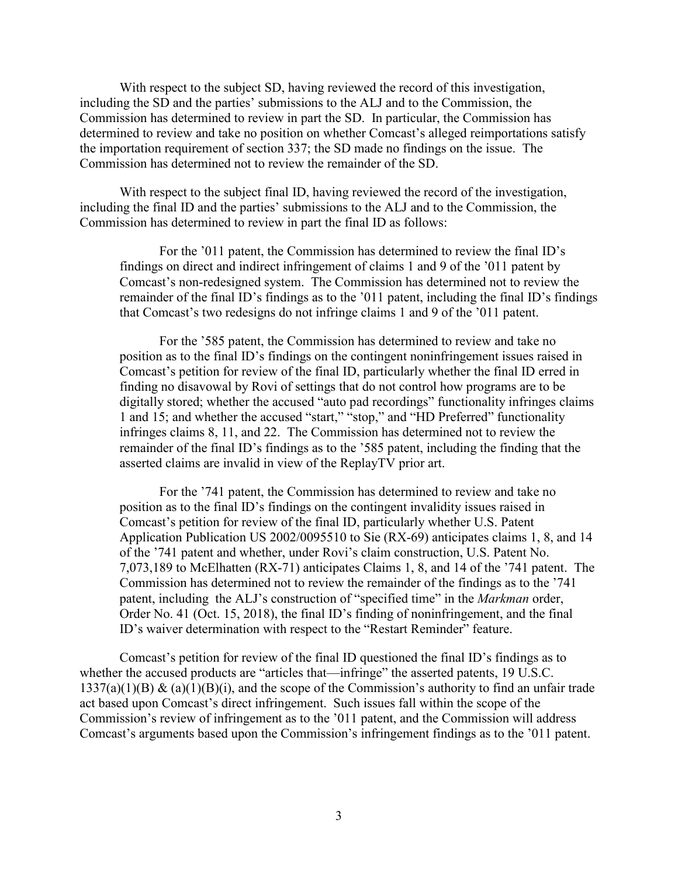With respect to the subject SD, having reviewed the record of this investigation, including the SD and the parties' submissions to the ALJ and to the Commission, the Commission has determined to review in part the SD. In particular, the Commission has determined to review and take no position on whether Comcast's alleged reimportations satisfy the importation requirement of section 337; the SD made no findings on the issue. The Commission has determined not to review the remainder of the SD.

With respect to the subject final ID, having reviewed the record of the investigation, including the final ID and the parties' submissions to the ALJ and to the Commission, the Commission has determined to review in part the final ID as follows:

For the '011 patent, the Commission has determined to review the final ID's findings on direct and indirect infringement of claims 1 and 9 of the '011 patent by Comcast's non-redesigned system. The Commission has determined not to review the remainder of the final ID's findings as to the '011 patent, including the final ID's findings that Comcast's two redesigns do not infringe claims 1 and 9 of the '011 patent.

For the '585 patent, the Commission has determined to review and take no position as to the final ID's findings on the contingent noninfringement issues raised in Comcast's petition for review of the final ID, particularly whether the final ID erred in finding no disavowal by Rovi of settings that do not control how programs are to be digitally stored; whether the accused "auto pad recordings" functionality infringes claims 1 and 15; and whether the accused "start," "stop," and "HD Preferred" functionality infringes claims 8, 11, and 22. The Commission has determined not to review the remainder of the final ID's findings as to the '585 patent, including the finding that the asserted claims are invalid in view of the ReplayTV prior art.

For the '741 patent, the Commission has determined to review and take no position as to the final ID's findings on the contingent invalidity issues raised in Comcast's petition for review of the final ID, particularly whether U.S. Patent Application Publication US 2002/0095510 to Sie (RX-69) anticipates claims 1, 8, and 14 of the '741 patent and whether, under Rovi's claim construction, U.S. Patent No. 7,073,189 to McElhatten (RX-71) anticipates Claims 1, 8, and 14 of the '741 patent. The Commission has determined not to review the remainder of the findings as to the '741 patent, including the ALJ's construction of "specified time" in the *Markman* order, Order No. 41 (Oct. 15, 2018), the final ID's finding of noninfringement, and the final ID's waiver determination with respect to the "Restart Reminder" feature.

Comcast's petition for review of the final ID questioned the final ID's findings as to whether the accused products are "articles that—infringe" the asserted patents, 19 U.S.C.  $1337(a)(1)(B)$  &  $(a)(1)(B)(i)$ , and the scope of the Commission's authority to find an unfair trade act based upon Comcast's direct infringement. Such issues fall within the scope of the Commission's review of infringement as to the '011 patent, and the Commission will address Comcast's arguments based upon the Commission's infringement findings as to the '011 patent.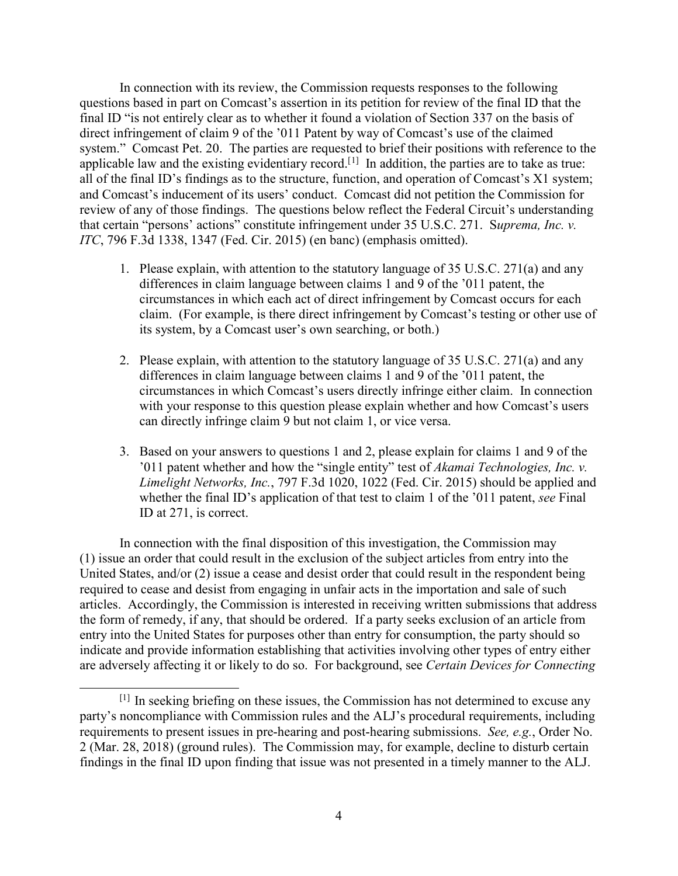In connection with its review, the Commission requests responses to the following questions based in part on Comcast's assertion in its petition for review of the final ID that the final ID "is not entirely clear as to whether it found a violation of Section 337 on the basis of direct infringement of claim 9 of the '011 Patent by way of Comcast's use of the claimed system." Comcast Pet. 20. The parties are requested to brief their positions with reference to the applicable law and the existing evidentiary record.<sup>[[1](#page-3-0)]</sup> In addition, the parties are to take as true: all of the final ID's findings as to the structure, function, and operation of Comcast's X1 system; and Comcast's inducement of its users' conduct. Comcast did not petition the Commission for review of any of those findings. The questions below reflect the Federal Circuit's understanding that certain "persons' actions" constitute infringement under 35 U.S.C. 271. S*uprema, Inc. v. ITC*, 796 F.3d 1338, 1347 (Fed. Cir. 2015) (en banc) (emphasis omitted).

- 1. Please explain, with attention to the statutory language of 35 U.S.C. 271(a) and any differences in claim language between claims 1 and 9 of the '011 patent, the circumstances in which each act of direct infringement by Comcast occurs for each claim. (For example, is there direct infringement by Comcast's testing or other use of its system, by a Comcast user's own searching, or both.)
- 2. Please explain, with attention to the statutory language of 35 U.S.C. 271(a) and any differences in claim language between claims 1 and 9 of the '011 patent, the circumstances in which Comcast's users directly infringe either claim. In connection with your response to this question please explain whether and how Comcast's users can directly infringe claim 9 but not claim 1, or vice versa.
- 3. Based on your answers to questions 1 and 2, please explain for claims 1 and 9 of the '011 patent whether and how the "single entity" test of *Akamai Technologies, Inc. v. Limelight Networks, Inc.*, 797 F.3d 1020, 1022 (Fed. Cir. 2015) should be applied and whether the final ID's application of that test to claim 1 of the '011 patent, *see* Final ID at 271, is correct.

In connection with the final disposition of this investigation, the Commission may (1) issue an order that could result in the exclusion of the subject articles from entry into the United States, and/or (2) issue a cease and desist order that could result in the respondent being required to cease and desist from engaging in unfair acts in the importation and sale of such articles. Accordingly, the Commission is interested in receiving written submissions that address the form of remedy, if any, that should be ordered. If a party seeks exclusion of an article from entry into the United States for purposes other than entry for consumption, the party should so indicate and provide information establishing that activities involving other types of entry either are adversely affecting it or likely to do so. For background, see *Certain Devices for Connecting* 

<span id="page-3-0"></span><sup>[1]</sup> In seeking briefing on these issues, the Commission has not determined to excuse any party's noncompliance with Commission rules and the ALJ's procedural requirements, including requirements to present issues in pre-hearing and post-hearing submissions. *See, e.g.*, Order No. 2 (Mar. 28, 2018) (ground rules). The Commission may, for example, decline to disturb certain findings in the final ID upon finding that issue was not presented in a timely manner to the ALJ.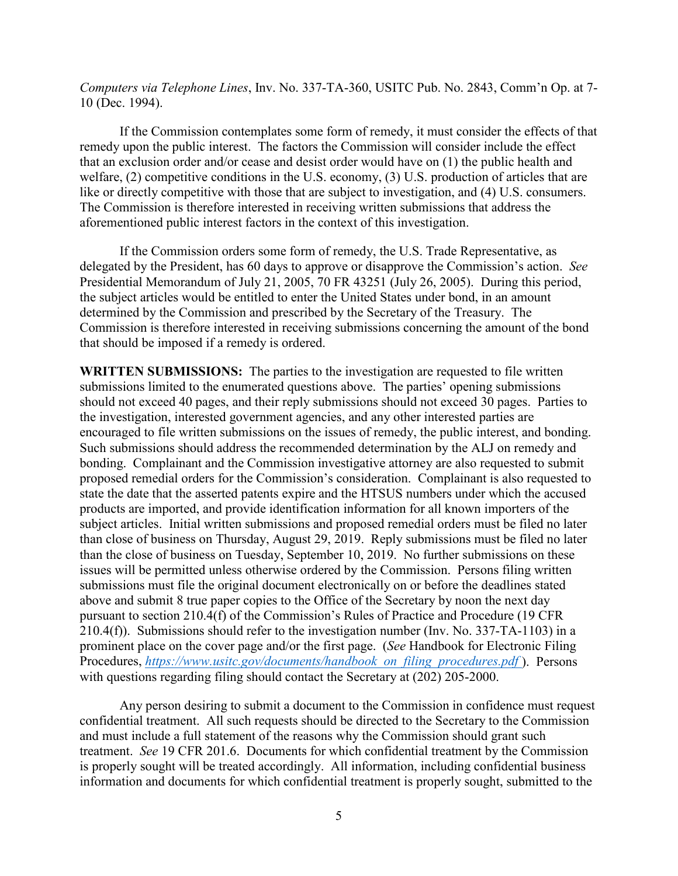*Computers via Telephone Lines*, Inv. No. 337-TA-360, USITC Pub. No. 2843, Comm'n Op. at 7- 10 (Dec. 1994).

If the Commission contemplates some form of remedy, it must consider the effects of that remedy upon the public interest. The factors the Commission will consider include the effect that an exclusion order and/or cease and desist order would have on (1) the public health and welfare, (2) competitive conditions in the U.S. economy, (3) U.S. production of articles that are like or directly competitive with those that are subject to investigation, and (4) U.S. consumers. The Commission is therefore interested in receiving written submissions that address the aforementioned public interest factors in the context of this investigation.

If the Commission orders some form of remedy, the U.S. Trade Representative, as delegated by the President, has 60 days to approve or disapprove the Commission's action. *See* Presidential Memorandum of July 21, 2005, 70 FR 43251 (July 26, 2005). During this period, the subject articles would be entitled to enter the United States under bond, in an amount determined by the Commission and prescribed by the Secretary of the Treasury. The Commission is therefore interested in receiving submissions concerning the amount of the bond that should be imposed if a remedy is ordered.

**WRITTEN SUBMISSIONS:** The parties to the investigation are requested to file written submissions limited to the enumerated questions above. The parties' opening submissions should not exceed 40 pages, and their reply submissions should not exceed 30 pages. Parties to the investigation, interested government agencies, and any other interested parties are encouraged to file written submissions on the issues of remedy, the public interest, and bonding. Such submissions should address the recommended determination by the ALJ on remedy and bonding. Complainant and the Commission investigative attorney are also requested to submit proposed remedial orders for the Commission's consideration. Complainant is also requested to state the date that the asserted patents expire and the HTSUS numbers under which the accused products are imported, and provide identification information for all known importers of the subject articles. Initial written submissions and proposed remedial orders must be filed no later than close of business on Thursday, August 29, 2019. Reply submissions must be filed no later than the close of business on Tuesday, September 10, 2019. No further submissions on these issues will be permitted unless otherwise ordered by the Commission. Persons filing written submissions must file the original document electronically on or before the deadlines stated above and submit 8 true paper copies to the Office of the Secretary by noon the next day pursuant to section 210.4(f) of the Commission's Rules of Practice and Procedure (19 CFR 210.4(f)). Submissions should refer to the investigation number (Inv. No. 337-TA-1103) in a prominent place on the cover page and/or the first page. (*See* Handbook for Electronic Filing Procedures, *[https://www.usitc.gov/documents/handbook\\_on\\_filing\\_procedures.pdf](https://www.usitc.gov/documents/handbook_on_filing_procedures.pdf)* ). Persons with questions regarding filing should contact the Secretary at  $(202)$  205-2000.

Any person desiring to submit a document to the Commission in confidence must request confidential treatment. All such requests should be directed to the Secretary to the Commission and must include a full statement of the reasons why the Commission should grant such treatment. *See* 19 CFR 201.6. Documents for which confidential treatment by the Commission is properly sought will be treated accordingly. All information, including confidential business information and documents for which confidential treatment is properly sought, submitted to the